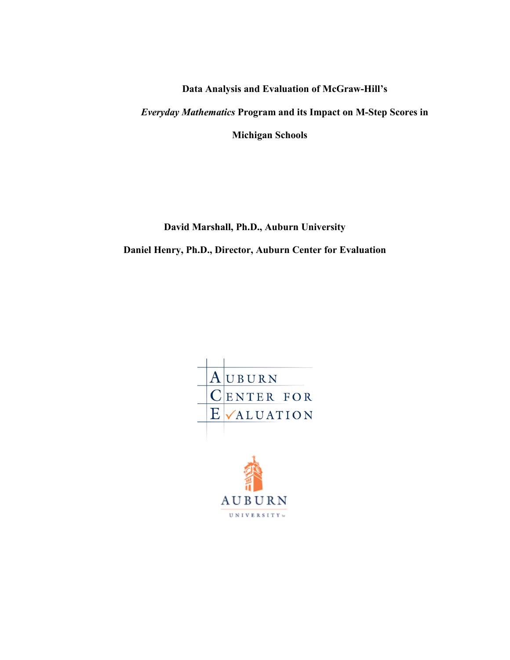**Data Analysis and Evaluation of McGraw-Hill's** *Everyday Mathematics* **Program and its Impact on M-Step Scores in Michigan Schools**

**David Marshall, Ph.D., Auburn University**

**Daniel Henry, Ph.D., Director, Auburn Center for Evaluation**

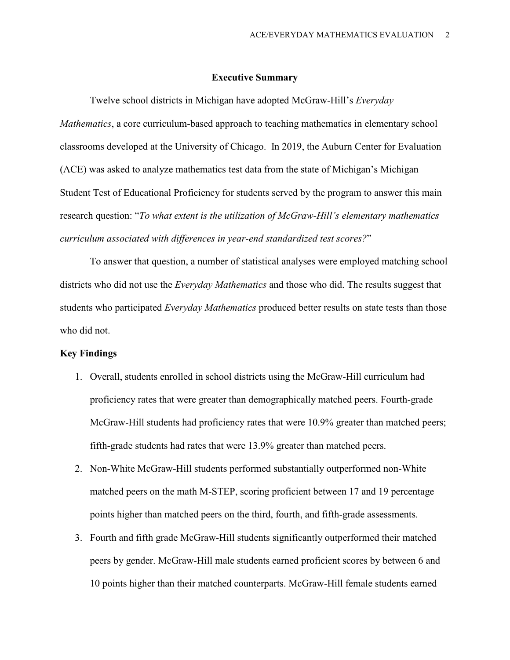### **Executive Summary**

Twelve school districts in Michigan have adopted McGraw-Hill's *Everyday Mathematics*, a core curriculum-based approach to teaching mathematics in elementary school classrooms developed at the University of Chicago. In 2019, the Auburn Center for Evaluation (ACE) was asked to analyze mathematics test data from the state of Michigan's Michigan Student Test of Educational Proficiency for students served by the program to answer this main research question: "*To what extent is the utilization of McGraw-Hill's elementary mathematics curriculum associated with differences in year-end standardized test scores?*"

To answer that question, a number of statistical analyses were employed matching school districts who did not use the *Everyday Mathematics* and those who did. The results suggest that students who participated *Everyday Mathematics* produced better results on state tests than those who did not.

### **Key Findings**

- 1. Overall, students enrolled in school districts using the McGraw-Hill curriculum had proficiency rates that were greater than demographically matched peers. Fourth-grade McGraw-Hill students had proficiency rates that were 10.9% greater than matched peers; fifth-grade students had rates that were 13.9% greater than matched peers.
- 2. Non-White McGraw-Hill students performed substantially outperformed non-White matched peers on the math M-STEP, scoring proficient between 17 and 19 percentage points higher than matched peers on the third, fourth, and fifth-grade assessments.
- 3. Fourth and fifth grade McGraw-Hill students significantly outperformed their matched peers by gender. McGraw-Hill male students earned proficient scores by between 6 and 10 points higher than their matched counterparts. McGraw-Hill female students earned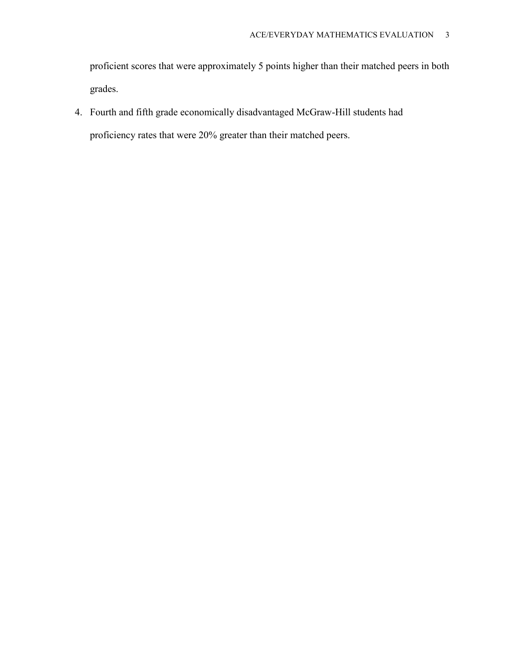proficient scores that were approximately 5 points higher than their matched peers in both grades.

4. Fourth and fifth grade economically disadvantaged McGraw-Hill students had proficiency rates that were 20% greater than their matched peers.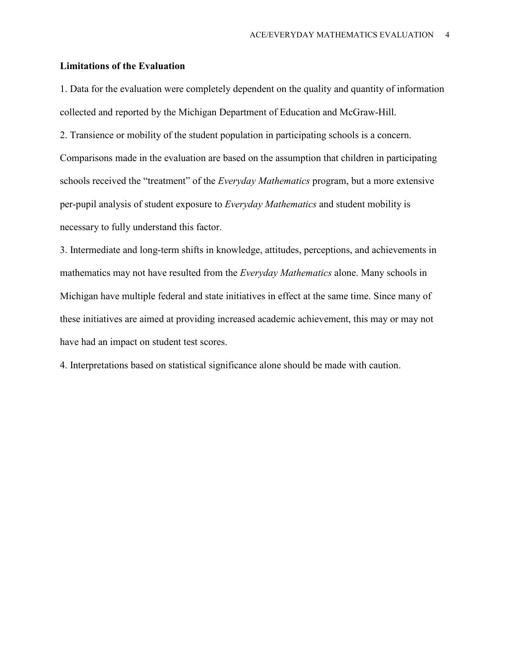## **Limitations of the Evaluation**

1. Data for the evaluation were completely dependent on the quality and quantity of information collected and reported by the Michigan Department of Education and McGraw-Hill.

2. Transience or mobility of the student population in participating schools is a concern. Comparisons made in the evaluation are based on the assumption that children in participating schools received the "treatment" of the *Everyday Mathematics* program, but a more extensive per-pupil analysis of student exposure to *Everyday Mathematics* and student mobility is necessary to fully understand this factor.

3. Intermediate and long-term shifts in knowledge, attitudes, perceptions, and achievements in mathematics may not have resulted from the *Everyday Mathematics* alone. Many schools in Michigan have multiple federal and state initiatives in effect at the same time. Since many of these initiatives are aimed at providing increased academic achievement, this may or may not have had an impact on student test scores.

4. Interpretations based on statistical significance alone should be made with caution.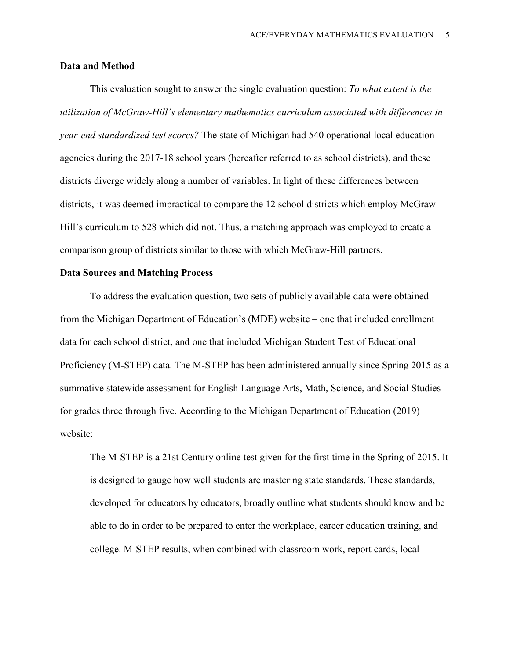### **Data and Method**

This evaluation sought to answer the single evaluation question: *To what extent is the utilization of McGraw-Hill's elementary mathematics curriculum associated with differences in year-end standardized test scores?* The state of Michigan had 540 operational local education agencies during the 2017-18 school years (hereafter referred to as school districts), and these districts diverge widely along a number of variables. In light of these differences between districts, it was deemed impractical to compare the 12 school districts which employ McGraw-Hill's curriculum to 528 which did not. Thus, a matching approach was employed to create a comparison group of districts similar to those with which McGraw-Hill partners.

### **Data Sources and Matching Process**

To address the evaluation question, two sets of publicly available data were obtained from the Michigan Department of Education's (MDE) website – one that included enrollment data for each school district, and one that included Michigan Student Test of Educational Proficiency (M-STEP) data. The M-STEP has been administered annually since Spring 2015 as a summative statewide assessment for English Language Arts, Math, Science, and Social Studies for grades three through five. According to the Michigan Department of Education (2019) website:

The M-STEP is a 21st Century online test given for the first time in the Spring of 2015. It is designed to gauge how well students are mastering state standards. These standards, developed for educators by educators, broadly outline what students should know and be able to do in order to be prepared to enter the workplace, career education training, and college. M-STEP results, when combined with classroom work, report cards, local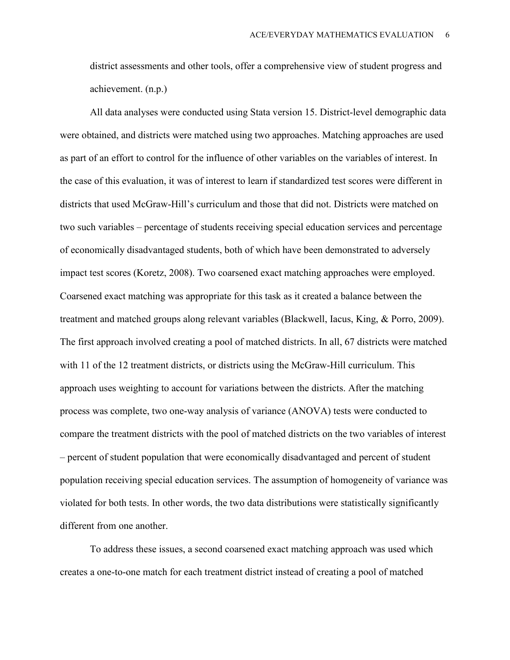district assessments and other tools, offer a comprehensive view of student progress and achievement. (n.p.)

All data analyses were conducted using Stata version 15. District-level demographic data were obtained, and districts were matched using two approaches. Matching approaches are used as part of an effort to control for the influence of other variables on the variables of interest. In the case of this evaluation, it was of interest to learn if standardized test scores were different in districts that used McGraw-Hill's curriculum and those that did not. Districts were matched on two such variables – percentage of students receiving special education services and percentage of economically disadvantaged students, both of which have been demonstrated to adversely impact test scores (Koretz, 2008). Two coarsened exact matching approaches were employed. Coarsened exact matching was appropriate for this task as it created a balance between the treatment and matched groups along relevant variables (Blackwell, Iacus, King, & Porro, 2009). The first approach involved creating a pool of matched districts. In all, 67 districts were matched with 11 of the 12 treatment districts, or districts using the McGraw-Hill curriculum. This approach uses weighting to account for variations between the districts. After the matching process was complete, two one-way analysis of variance (ANOVA) tests were conducted to compare the treatment districts with the pool of matched districts on the two variables of interest – percent of student population that were economically disadvantaged and percent of student population receiving special education services. The assumption of homogeneity of variance was violated for both tests. In other words, the two data distributions were statistically significantly different from one another.

To address these issues, a second coarsened exact matching approach was used which creates a one-to-one match for each treatment district instead of creating a pool of matched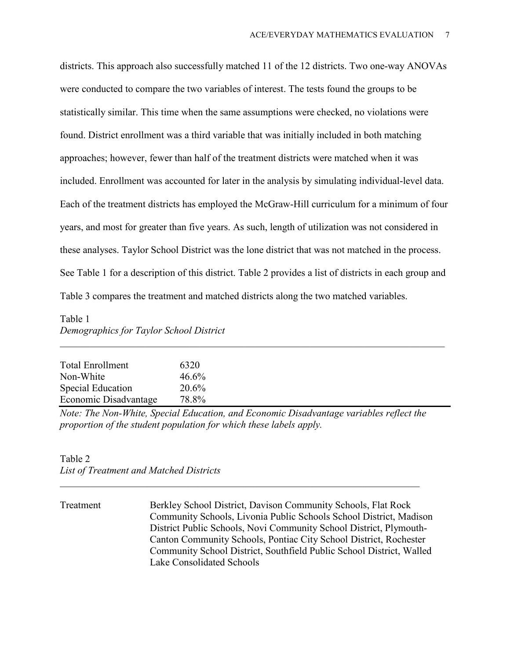districts. This approach also successfully matched 11 of the 12 districts. Two one-way ANOVAs were conducted to compare the two variables of interest. The tests found the groups to be statistically similar. This time when the same assumptions were checked, no violations were found. District enrollment was a third variable that was initially included in both matching approaches; however, fewer than half of the treatment districts were matched when it was included. Enrollment was accounted for later in the analysis by simulating individual-level data. Each of the treatment districts has employed the McGraw-Hill curriculum for a minimum of four years, and most for greater than five years. As such, length of utilization was not considered in these analyses. Taylor School District was the lone district that was not matched in the process. See Table 1 for a description of this district. Table 2 provides a list of districts in each group and Table 3 compares the treatment and matched districts along the two matched variables.

## Table 1 *Demographics for Taylor School District* \_\_\_\_\_\_\_\_\_\_\_\_\_\_\_\_\_\_\_\_\_\_\_\_\_\_\_\_\_\_\_\_\_\_\_\_\_\_\_\_\_\_\_\_\_\_\_\_\_\_\_\_\_\_\_\_\_\_\_\_\_\_\_\_\_\_\_\_\_\_\_\_\_\_\_\_\_

| <b>Total Enrollment</b>  | 6320  |
|--------------------------|-------|
| Non-White                | 46.6% |
| <b>Special Education</b> | 20.6% |
| Economic Disadvantage    | 78.8% |

*Note: The Non-White, Special Education, and Economic Disadvantage variables reflect the proportion of the student population for which these labels apply.*

*\_\_\_\_\_\_\_\_\_\_\_\_\_\_\_\_\_\_\_\_\_\_\_\_\_\_\_\_\_\_\_\_\_\_\_\_\_\_\_\_\_\_\_\_\_\_\_\_\_\_\_\_\_\_\_\_\_\_\_\_\_\_\_\_\_\_\_\_\_\_\_\_*

## Table 2 *List of Treatment and Matched Districts*

Treatment Berkley School District, Davison Community Schools, Flat Rock Community Schools, Livonia Public Schools School District, Madison District Public Schools, Novi Community School District, Plymouth-Canton Community Schools, Pontiac City School District, Rochester Community School District, Southfield Public School District, Walled Lake Consolidated Schools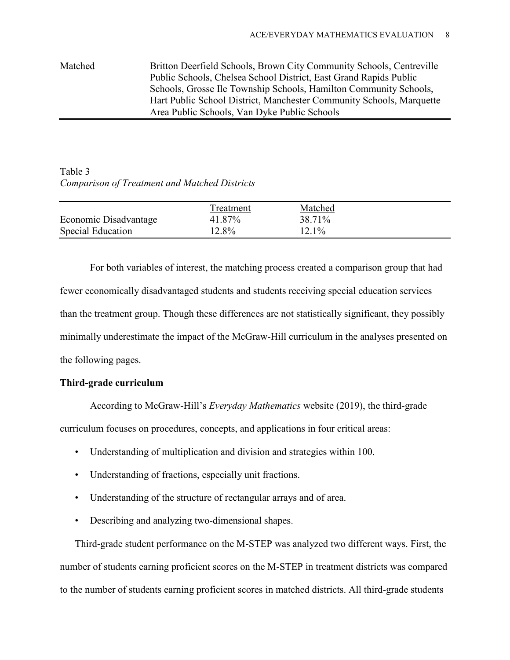# Matched Britton Deerfield Schools, Brown City Community Schools, Centreville Public Schools, Chelsea School District, East Grand Rapids Public Schools, Grosse Ile Township Schools, Hamilton Community Schools, Hart Public School District, Manchester Community Schools, Marquette Area Public Schools, Van Dyke Public Schools

## Table 3 *Comparison of Treatment and Matched Districts*

|                       | Treatment | Matched |  |
|-----------------------|-----------|---------|--|
| Economic Disadvantage | 41.87%    | 38.71%  |  |
| Special Education     | 12.8%     | 12.1%   |  |

For both variables of interest, the matching process created a comparison group that had fewer economically disadvantaged students and students receiving special education services than the treatment group. Though these differences are not statistically significant, they possibly minimally underestimate the impact of the McGraw-Hill curriculum in the analyses presented on the following pages.

## **Third-grade curriculum**

According to McGraw-Hill's *Everyday Mathematics* website (2019), the third-grade

curriculum focuses on procedures, concepts, and applications in four critical areas:

- Understanding of multiplication and division and strategies within 100.
- Understanding of fractions, especially unit fractions.
- Understanding of the structure of rectangular arrays and of area.
- Describing and analyzing two-dimensional shapes.

Third-grade student performance on the M-STEP was analyzed two different ways. First, the number of students earning proficient scores on the M-STEP in treatment districts was compared to the number of students earning proficient scores in matched districts. All third-grade students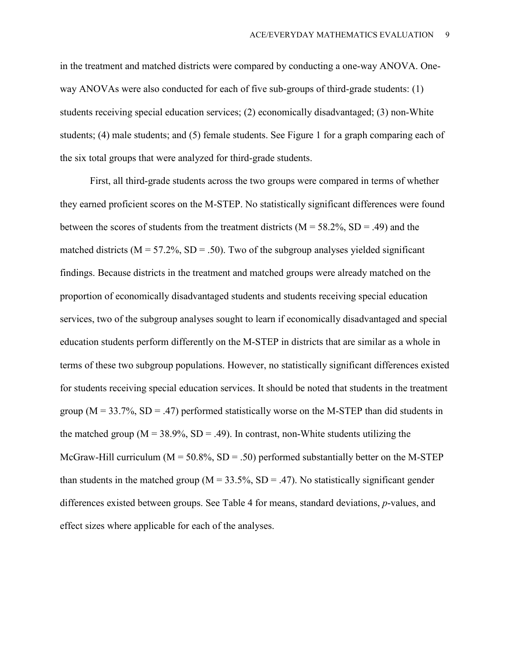in the treatment and matched districts were compared by conducting a one-way ANOVA. Oneway ANOVAs were also conducted for each of five sub-groups of third-grade students: (1) students receiving special education services; (2) economically disadvantaged; (3) non-White students; (4) male students; and (5) female students. See Figure 1 for a graph comparing each of the six total groups that were analyzed for third-grade students.

First, all third-grade students across the two groups were compared in terms of whether they earned proficient scores on the M-STEP. No statistically significant differences were found between the scores of students from the treatment districts ( $M = 58.2\%$ , SD = .49) and the matched districts ( $M = 57.2\%$ , SD = .50). Two of the subgroup analyses yielded significant findings. Because districts in the treatment and matched groups were already matched on the proportion of economically disadvantaged students and students receiving special education services, two of the subgroup analyses sought to learn if economically disadvantaged and special education students perform differently on the M-STEP in districts that are similar as a whole in terms of these two subgroup populations. However, no statistically significant differences existed for students receiving special education services. It should be noted that students in the treatment group ( $M = 33.7\%$ ,  $SD = .47$ ) performed statistically worse on the M-STEP than did students in the matched group ( $M = 38.9\%$ , SD = .49). In contrast, non-White students utilizing the McGraw-Hill curriculum ( $M = 50.8\%$ , SD = .50) performed substantially better on the M-STEP than students in the matched group ( $M = 33.5\%$ , SD = .47). No statistically significant gender differences existed between groups. See Table 4 for means, standard deviations, *p*-values, and effect sizes where applicable for each of the analyses.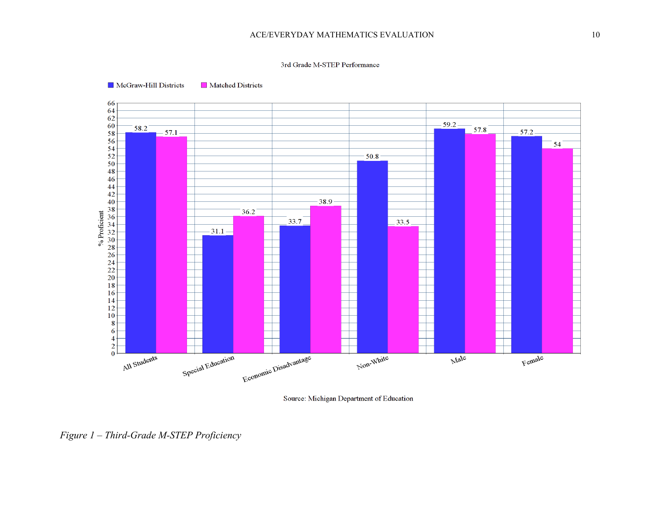#### 3rd Grade M-STEP Performance



McGraw-Hill Districts Matched Districts

Source: Michigan Department of Education

*Figure 1 – Third-Grade M-STEP Proficiency*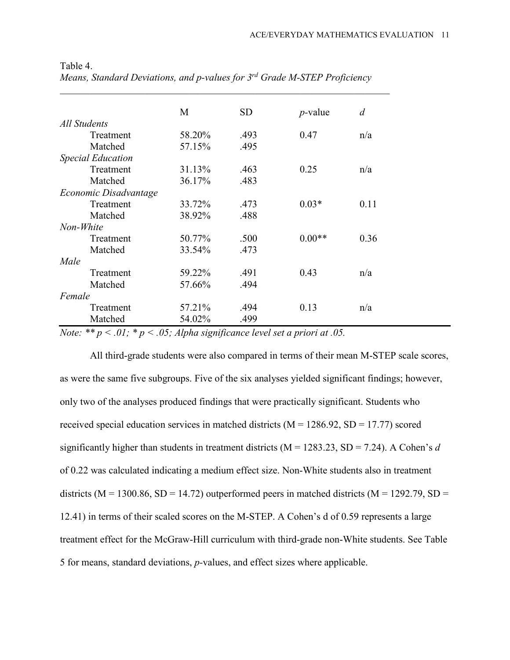|                          | M      | <b>SD</b> | $p$ -value | $\overline{d}$ |
|--------------------------|--------|-----------|------------|----------------|
| All Students             |        |           |            |                |
| Treatment                | 58.20% | .493      | 0.47       | n/a            |
| Matched                  | 57.15% | .495      |            |                |
| <b>Special Education</b> |        |           |            |                |
| Treatment                | 31.13% | .463      | 0.25       | n/a            |
| Matched                  | 36.17% | .483      |            |                |
| Economic Disadvantage    |        |           |            |                |
| Treatment                | 33.72% | .473      | $0.03*$    | 0.11           |
| Matched                  | 38.92% | .488      |            |                |
| Non-White                |        |           |            |                |
| Treatment                | 50.77% | .500      | $0.00**$   | 0.36           |
| Matched                  | 33.54% | .473      |            |                |
| Male                     |        |           |            |                |
| Treatment                | 59.22% | .491      | 0.43       | n/a            |
| Matched                  | 57.66% | .494      |            |                |
| Female                   |        |           |            |                |
| Treatment                | 57.21% | .494      | 0.13       | n/a            |
| Matched                  | 54.02% | .499      |            |                |

Table 4. *Means, Standard Deviations, and p-values for 3rd Grade M-STEP Proficiency*

*Note: \*\* p < .01; \* p < .05; Alpha significance level set a priori at .05.*

All third-grade students were also compared in terms of their mean M-STEP scale scores, as were the same five subgroups. Five of the six analyses yielded significant findings; however, only two of the analyses produced findings that were practically significant. Students who received special education services in matched districts ( $M = 1286.92$ ,  $SD = 17.77$ ) scored significantly higher than students in treatment districts (M = 1283.23, SD = 7.24). A Cohen's *d* of 0.22 was calculated indicating a medium effect size. Non-White students also in treatment districts ( $M = 1300.86$ ,  $SD = 14.72$ ) outperformed peers in matched districts ( $M = 1292.79$ ,  $SD =$ 12.41) in terms of their scaled scores on the M-STEP. A Cohen's d of 0.59 represents a large treatment effect for the McGraw-Hill curriculum with third-grade non-White students. See Table 5 for means, standard deviations, *p-*values, and effect sizes where applicable.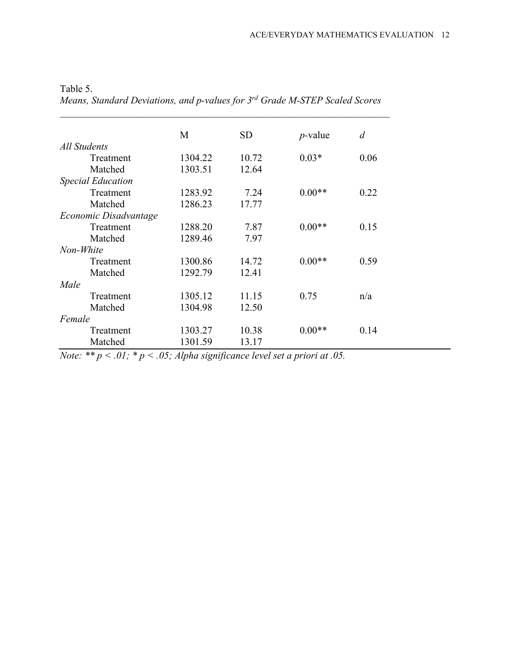|                          | M       | <b>SD</b> | $p$ -value | d    |
|--------------------------|---------|-----------|------------|------|
| All Students             |         |           |            |      |
| Treatment                | 1304.22 | 10.72     | $0.03*$    | 0.06 |
| Matched                  | 1303.51 | 12.64     |            |      |
| <b>Special Education</b> |         |           |            |      |
| Treatment                | 1283.92 | 7.24      | $0.00**$   | 0.22 |
| Matched                  | 1286.23 | 17.77     |            |      |
| Economic Disadvantage    |         |           |            |      |
| Treatment                | 1288.20 | 7.87      | $0.00**$   | 0.15 |
| Matched                  | 1289.46 | 7.97      |            |      |
| Non-White                |         |           |            |      |
| Treatment                | 1300.86 | 14.72     | $0.00**$   | 0.59 |
| Matched                  | 1292.79 | 12.41     |            |      |
| Male                     |         |           |            |      |
| Treatment                | 1305.12 | 11.15     | 0.75       | n/a  |
| Matched                  | 1304.98 | 12.50     |            |      |
| Female                   |         |           |            |      |
| Treatment                | 1303.27 | 10.38     | $0.00**$   | 0.14 |
| Matched                  | 1301.59 | 13.17     |            |      |

Table 5. *Means, Standard Deviations, and p-values for 3rd Grade M-STEP Scaled Scores*

*Note: \*\* p < .01; \* p < .05; Alpha significance level set a priori at .05.*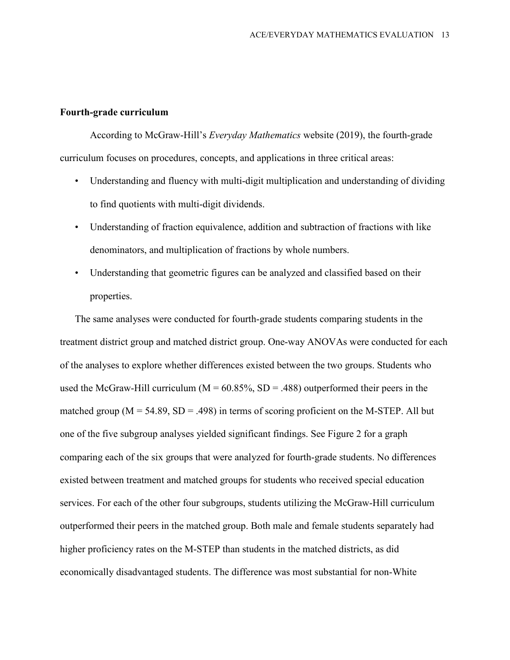### **Fourth-grade curriculum**

According to McGraw-Hill's *Everyday Mathematics* website (2019), the fourth-grade curriculum focuses on procedures, concepts, and applications in three critical areas:

- Understanding and fluency with multi-digit multiplication and understanding of dividing to find quotients with multi-digit dividends.
- Understanding of fraction equivalence, addition and subtraction of fractions with like denominators, and multiplication of fractions by whole numbers.
- Understanding that geometric figures can be analyzed and classified based on their properties.

The same analyses were conducted for fourth-grade students comparing students in the treatment district group and matched district group. One-way ANOVAs were conducted for each of the analyses to explore whether differences existed between the two groups. Students who used the McGraw-Hill curriculum ( $M = 60.85\%$ , SD = .488) outperformed their peers in the matched group ( $M = 54.89$ ,  $SD = .498$ ) in terms of scoring proficient on the M-STEP. All but one of the five subgroup analyses yielded significant findings. See Figure 2 for a graph comparing each of the six groups that were analyzed for fourth-grade students. No differences existed between treatment and matched groups for students who received special education services. For each of the other four subgroups, students utilizing the McGraw-Hill curriculum outperformed their peers in the matched group. Both male and female students separately had higher proficiency rates on the M-STEP than students in the matched districts, as did economically disadvantaged students. The difference was most substantial for non-White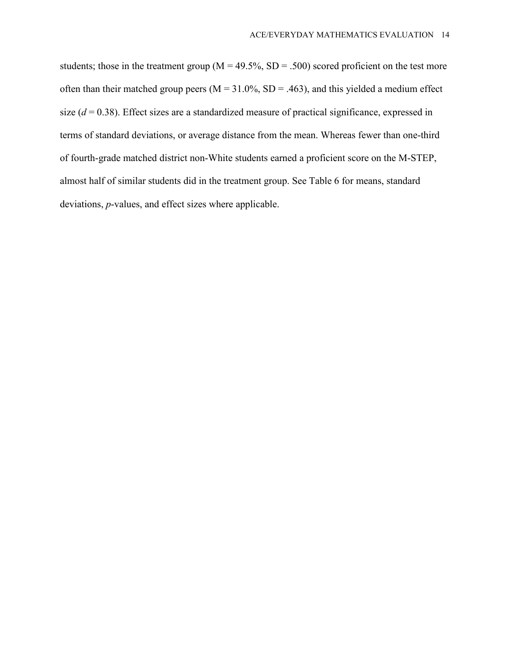students; those in the treatment group ( $M = 49.5\%$ , SD = .500) scored proficient on the test more often than their matched group peers ( $M = 31.0\%$ ,  $SD = .463$ ), and this yielded a medium effect size  $(d = 0.38)$ . Effect sizes are a standardized measure of practical significance, expressed in terms of standard deviations, or average distance from the mean. Whereas fewer than one-third of fourth-grade matched district non-White students earned a proficient score on the M-STEP, almost half of similar students did in the treatment group. See Table 6 for means, standard deviations, *p*-values, and effect sizes where applicable.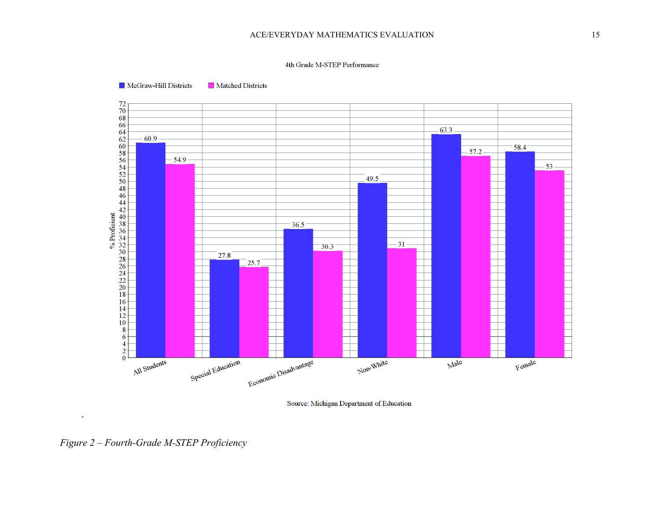#### 4th Grade M-STEP Performance



McGraw-Hill Districts Matched Districts

Source: Michigan Department of Education

*Figure 2 – Fourth-Grade M-STEP Proficiency*

 $\bar{\lambda}$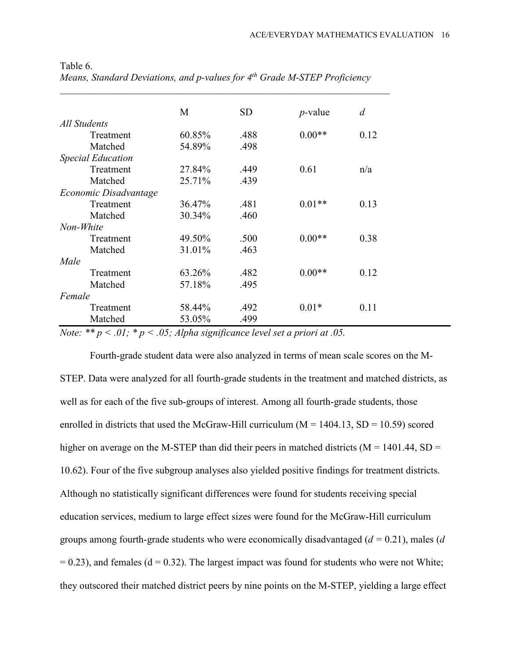|                          | M      | <b>SD</b> | $p$ -value | $\overline{d}$ |
|--------------------------|--------|-----------|------------|----------------|
| All Students             |        |           |            |                |
| Treatment                | 60.85% | .488      | $0.00**$   | 0.12           |
| Matched                  | 54.89% | .498      |            |                |
| <b>Special Education</b> |        |           |            |                |
| Treatment                | 27.84% | .449      | 0.61       | n/a            |
| Matched                  | 25.71% | .439      |            |                |
| Economic Disadvantage    |        |           |            |                |
| Treatment                | 36.47% | .481      | $0.01**$   | 0.13           |
| Matched                  | 30.34% | .460      |            |                |
| Non-White                |        |           |            |                |
| Treatment                | 49.50% | .500      | $0.00**$   | 0.38           |
| Matched                  | 31.01% | .463      |            |                |
| Male                     |        |           |            |                |
| Treatment                | 63.26% | .482      | $0.00**$   | 0.12           |
| Matched                  | 57.18% | .495      |            |                |
| Female                   |        |           |            |                |
| Treatment                | 58.44% | .492      | $0.01*$    | 0.11           |
| Matched                  | 53.05% | .499      |            |                |

Table 6. *Means, Standard Deviations, and p-values for 4th Grade M-STEP Proficiency*

*Note: \*\* p < .01; \* p < .05; Alpha significance level set a priori at .05.*

Fourth-grade student data were also analyzed in terms of mean scale scores on the M-STEP. Data were analyzed for all fourth-grade students in the treatment and matched districts, as well as for each of the five sub-groups of interest. Among all fourth-grade students, those enrolled in districts that used the McGraw-Hill curriculum ( $M = 1404.13$ , SD = 10.59) scored higher on average on the M-STEP than did their peers in matched districts ( $M = 1401.44$ , SD = 10.62). Four of the five subgroup analyses also yielded positive findings for treatment districts. Although no statistically significant differences were found for students receiving special education services, medium to large effect sizes were found for the McGraw-Hill curriculum groups among fourth-grade students who were economically disadvantaged (*d =* 0.21), males (*d*  $= 0.23$ ), and females (d = 0.32). The largest impact was found for students who were not White; they outscored their matched district peers by nine points on the M-STEP, yielding a large effect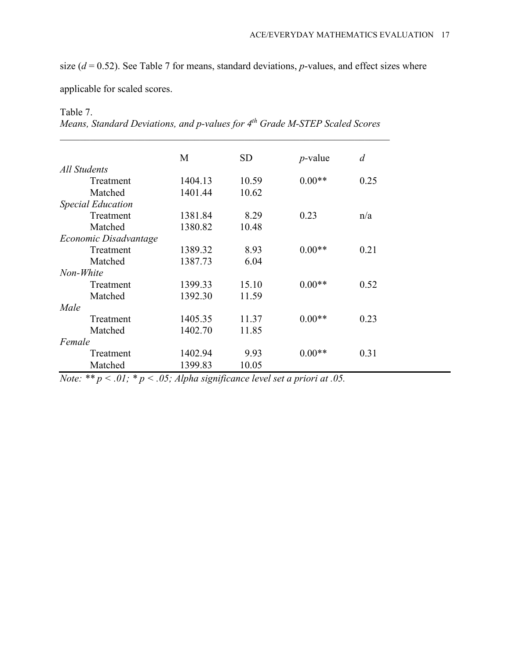size (*d* = 0.52). See Table 7 for means, standard deviations, *p*-values, and effect sizes where

applicable for scaled scores.

Table 7.

| Means, Standard Deviations, and p-values for 4 <sup>th</sup> Grade M-STEP Scaled Scores |  |  |  |
|-----------------------------------------------------------------------------------------|--|--|--|
|-----------------------------------------------------------------------------------------|--|--|--|

 $\_$  , and the set of the set of the set of the set of the set of the set of the set of the set of the set of the set of the set of the set of the set of the set of the set of the set of the set of the set of the set of th

|                          | М       | <b>SD</b> | $p$ -value | $\overline{d}$ |
|--------------------------|---------|-----------|------------|----------------|
| All Students             |         |           |            |                |
| Treatment                | 1404.13 | 10.59     | $0.00**$   | 0.25           |
| Matched                  | 1401.44 | 10.62     |            |                |
| <b>Special Education</b> |         |           |            |                |
| Treatment                | 1381.84 | 8.29      | 0.23       | n/a            |
| Matched                  | 1380.82 | 10.48     |            |                |
| Economic Disadvantage    |         |           |            |                |
| Treatment                | 1389.32 | 8.93      | $0.00**$   | 0.21           |
| Matched                  | 1387.73 | 6.04      |            |                |
| Non-White                |         |           |            |                |
| Treatment                | 1399.33 | 15.10     | $0.00**$   | 0.52           |
| Matched                  | 1392.30 | 11.59     |            |                |
| Male                     |         |           |            |                |
| Treatment                | 1405.35 | 11.37     | $0.00**$   | 0.23           |
| Matched                  | 1402.70 | 11.85     |            |                |
| Female                   |         |           |            |                |
| Treatment                | 1402.94 | 9.93      | $0.00**$   | 0.31           |
| Matched                  | 1399.83 | 10.05     |            |                |

*Note: \*\* p < .01; \* p < .05; Alpha significance level set a priori at .05.*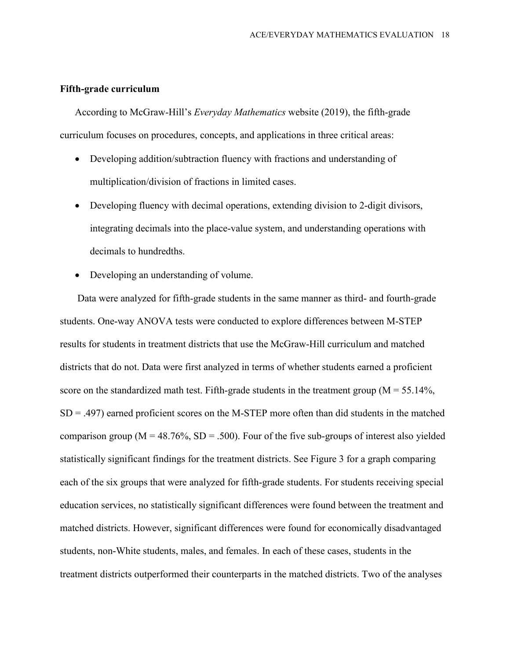### **Fifth-grade curriculum**

According to McGraw-Hill's *Everyday Mathematics* website (2019), the fifth-grade curriculum focuses on procedures, concepts, and applications in three critical areas:

- Developing addition/subtraction fluency with fractions and understanding of multiplication/division of fractions in limited cases.
- Developing fluency with decimal operations, extending division to 2-digit divisors, integrating decimals into the place-value system, and understanding operations with decimals to hundredths.
- Developing an understanding of volume.

Data were analyzed for fifth-grade students in the same manner as third- and fourth-grade students. One-way ANOVA tests were conducted to explore differences between M-STEP results for students in treatment districts that use the McGraw-Hill curriculum and matched districts that do not. Data were first analyzed in terms of whether students earned a proficient score on the standardized math test. Fifth-grade students in the treatment group ( $M = 55.14\%$ ,  $SD = .497$ ) earned proficient scores on the M-STEP more often than did students in the matched comparison group ( $M = 48.76\%$ ,  $SD = .500$ ). Four of the five sub-groups of interest also yielded statistically significant findings for the treatment districts. See Figure 3 for a graph comparing each of the six groups that were analyzed for fifth-grade students. For students receiving special education services, no statistically significant differences were found between the treatment and matched districts. However, significant differences were found for economically disadvantaged students, non-White students, males, and females. In each of these cases, students in the treatment districts outperformed their counterparts in the matched districts. Two of the analyses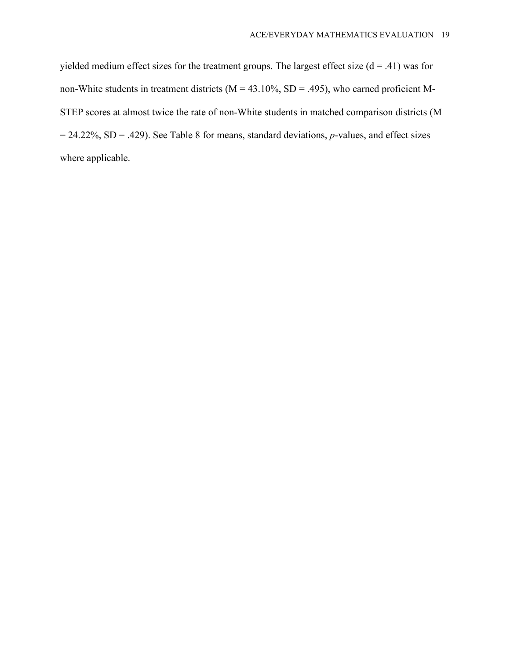yielded medium effect sizes for the treatment groups. The largest effect size  $(d = .41)$  was for non-White students in treatment districts ( $M = 43.10\%$ , SD = .495), who earned proficient M-STEP scores at almost twice the rate of non-White students in matched comparison districts (M = 24.22%, SD = .429). See Table 8 for means, standard deviations, *p*-values, and effect sizes where applicable.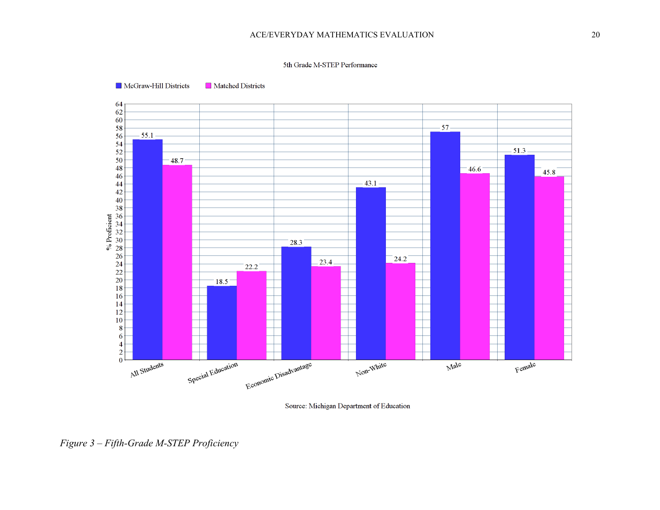#### 5th Grade M-STEP Performance



McGraw-Hill Districts Matched Districts

Source: Michigan Department of Education

*Figure 3 – Fifth-Grade M-STEP Proficiency*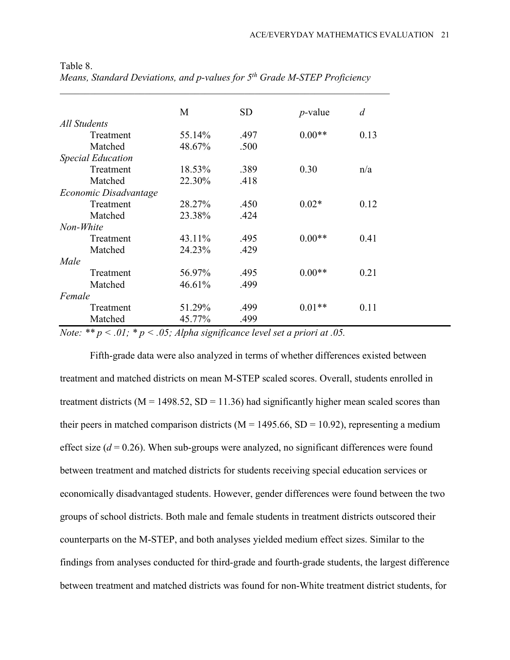|                          | M      | <b>SD</b> | $p$ -value | d    |
|--------------------------|--------|-----------|------------|------|
| All Students             |        |           |            |      |
| Treatment                | 55.14% | .497      | $0.00**$   | 0.13 |
| Matched                  | 48.67% | .500      |            |      |
| <b>Special Education</b> |        |           |            |      |
| Treatment                | 18.53% | .389      | 0.30       | n/a  |
| Matched                  | 22.30% | .418      |            |      |
| Economic Disadvantage    |        |           |            |      |
| Treatment                | 28.27% | .450      | $0.02*$    | 0.12 |
| Matched                  | 23.38% | .424      |            |      |
| Non-White                |        |           |            |      |
| Treatment                | 43.11% | .495      | $0.00**$   | 0.41 |
| Matched                  | 24.23% | .429      |            |      |
| Male                     |        |           |            |      |
| Treatment                | 56.97% | .495      | $0.00**$   | 0.21 |
| Matched                  | 46.61% | .499      |            |      |
| Female                   |        |           |            |      |
| Treatment                | 51.29% | .499      | $0.01**$   | 0.11 |
| Matched                  | 45.77% | .499      |            |      |

Table 8. *Means, Standard Deviations, and p-values for 5th Grade M-STEP Proficiency*

*Note: \*\* p < .01; \* p < .05; Alpha significance level set a priori at .05.*

Fifth-grade data were also analyzed in terms of whether differences existed between treatment and matched districts on mean M-STEP scaled scores. Overall, students enrolled in treatment districts ( $M = 1498.52$ ,  $SD = 11.36$ ) had significantly higher mean scaled scores than their peers in matched comparison districts ( $M = 1495.66$ ,  $SD = 10.92$ ), representing a medium effect size  $(d = 0.26)$ . When sub-groups were analyzed, no significant differences were found between treatment and matched districts for students receiving special education services or economically disadvantaged students. However, gender differences were found between the two groups of school districts. Both male and female students in treatment districts outscored their counterparts on the M-STEP, and both analyses yielded medium effect sizes. Similar to the findings from analyses conducted for third-grade and fourth-grade students, the largest difference between treatment and matched districts was found for non-White treatment district students, for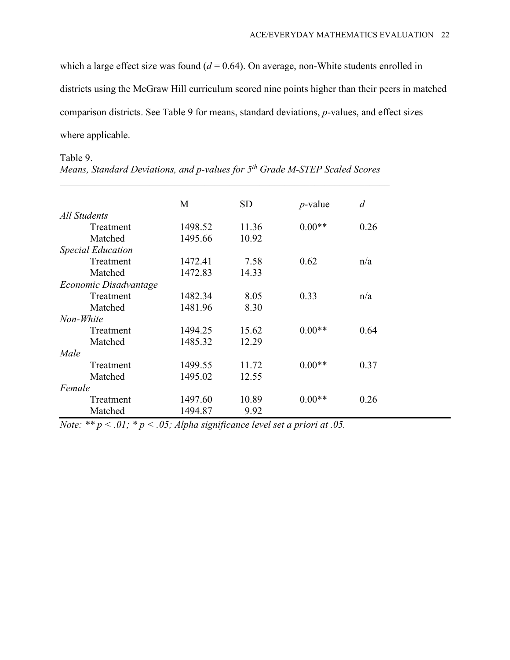which a large effect size was found  $(d = 0.64)$ . On average, non-White students enrolled in districts using the McGraw Hill curriculum scored nine points higher than their peers in matched comparison districts. See Table 9 for means, standard deviations, *p*-values, and effect sizes where applicable.

# Table 9.

|                          | M       | <b>SD</b> | $p$ -value | d    |
|--------------------------|---------|-----------|------------|------|
| All Students             |         |           |            |      |
| Treatment                | 1498.52 | 11.36     | $0.00**$   | 0.26 |
| Matched                  | 1495.66 | 10.92     |            |      |
| <b>Special Education</b> |         |           |            |      |
| Treatment                | 1472.41 | 7.58      | 0.62       | n/a  |
| Matched                  | 1472.83 | 14.33     |            |      |
| Economic Disadvantage    |         |           |            |      |
| Treatment                | 1482.34 | 8.05      | 0.33       | n/a  |
| Matched                  | 1481.96 | 8.30      |            |      |
| Non-White                |         |           |            |      |
| Treatment                | 1494.25 | 15.62     | $0.00**$   | 0.64 |
| Matched                  | 1485.32 | 12.29     |            |      |
| Male                     |         |           |            |      |
| Treatment                | 1499.55 | 11.72     | $0.00**$   | 0.37 |
| Matched                  | 1495.02 | 12.55     |            |      |
| Female                   |         |           |            |      |
| Treatment                | 1497.60 | 10.89     | $0.00**$   | 0.26 |
| Matched                  | 1494.87 | 9.92      |            |      |

*Means, Standard Deviations, and p-values for 5th Grade M-STEP Scaled Scores*

 $\_$ 

*Note: \*\* p < .01; \* p < .05; Alpha significance level set a priori at .05.*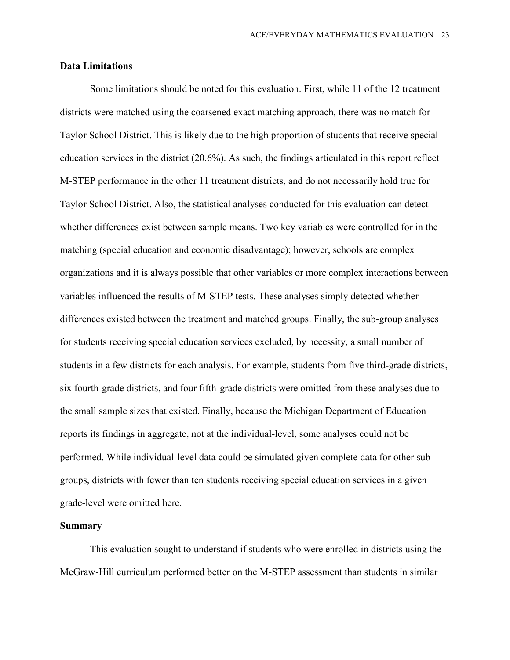### **Data Limitations**

Some limitations should be noted for this evaluation. First, while 11 of the 12 treatment districts were matched using the coarsened exact matching approach, there was no match for Taylor School District. This is likely due to the high proportion of students that receive special education services in the district (20.6%). As such, the findings articulated in this report reflect M-STEP performance in the other 11 treatment districts, and do not necessarily hold true for Taylor School District. Also, the statistical analyses conducted for this evaluation can detect whether differences exist between sample means. Two key variables were controlled for in the matching (special education and economic disadvantage); however, schools are complex organizations and it is always possible that other variables or more complex interactions between variables influenced the results of M-STEP tests. These analyses simply detected whether differences existed between the treatment and matched groups. Finally, the sub-group analyses for students receiving special education services excluded, by necessity, a small number of students in a few districts for each analysis. For example, students from five third-grade districts, six fourth-grade districts, and four fifth-grade districts were omitted from these analyses due to the small sample sizes that existed. Finally, because the Michigan Department of Education reports its findings in aggregate, not at the individual-level, some analyses could not be performed. While individual-level data could be simulated given complete data for other subgroups, districts with fewer than ten students receiving special education services in a given grade-level were omitted here.

### **Summary**

This evaluation sought to understand if students who were enrolled in districts using the McGraw-Hill curriculum performed better on the M-STEP assessment than students in similar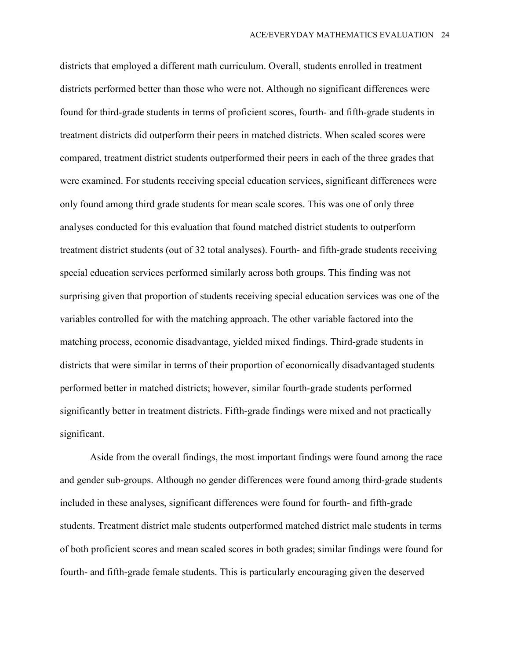districts that employed a different math curriculum. Overall, students enrolled in treatment districts performed better than those who were not. Although no significant differences were found for third-grade students in terms of proficient scores, fourth- and fifth-grade students in treatment districts did outperform their peers in matched districts. When scaled scores were compared, treatment district students outperformed their peers in each of the three grades that were examined. For students receiving special education services, significant differences were only found among third grade students for mean scale scores. This was one of only three analyses conducted for this evaluation that found matched district students to outperform treatment district students (out of 32 total analyses). Fourth- and fifth-grade students receiving special education services performed similarly across both groups. This finding was not surprising given that proportion of students receiving special education services was one of the variables controlled for with the matching approach. The other variable factored into the matching process, economic disadvantage, yielded mixed findings. Third-grade students in districts that were similar in terms of their proportion of economically disadvantaged students performed better in matched districts; however, similar fourth-grade students performed significantly better in treatment districts. Fifth-grade findings were mixed and not practically significant.

Aside from the overall findings, the most important findings were found among the race and gender sub-groups. Although no gender differences were found among third-grade students included in these analyses, significant differences were found for fourth- and fifth-grade students. Treatment district male students outperformed matched district male students in terms of both proficient scores and mean scaled scores in both grades; similar findings were found for fourth- and fifth-grade female students. This is particularly encouraging given the deserved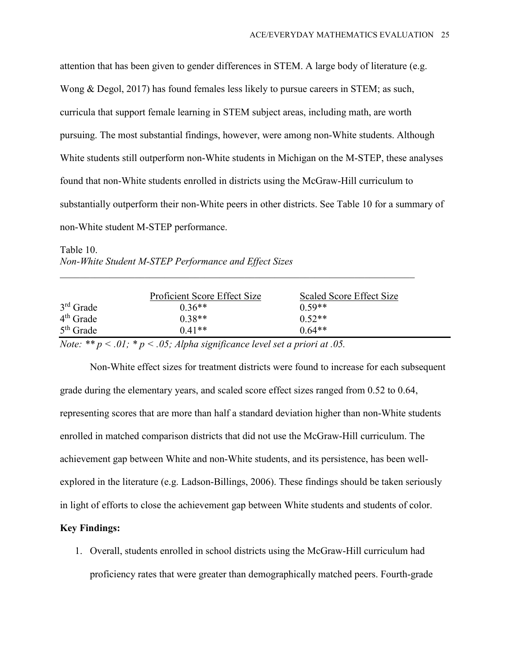attention that has been given to gender differences in STEM. A large body of literature (e.g. Wong & Degol, 2017) has found females less likely to pursue careers in STEM; as such, curricula that support female learning in STEM subject areas, including math, are worth pursuing. The most substantial findings, however, were among non-White students. Although White students still outperform non-White students in Michigan on the M-STEP, these analyses found that non-White students enrolled in districts using the McGraw-Hill curriculum to substantially outperform their non-White peers in other districts. See Table 10 for a summary of non-White student M-STEP performance.

Table 10. *Non-White Student M-STEP Performance and Effect Sizes*

|             | Proficient Score Effect Size | Scaled Score Effect Size |
|-------------|------------------------------|--------------------------|
| $3rd$ Grade | $0.36**$                     | $0.59**$                 |
| $4th$ Grade | $0.38**$                     | $0.52**$                 |
| $5th$ Grade | $0.41**$                     | $0.64**$                 |
|             | .                            |                          |

*\_\_\_\_\_\_\_\_\_\_\_\_\_\_\_\_\_\_\_\_\_\_\_\_\_\_\_\_\_\_\_\_\_\_\_\_\_\_\_\_\_\_\_\_\_\_\_\_\_\_\_\_\_\_\_\_\_\_\_\_\_\_\_\_\_\_\_\_\_\_\_*

*Note: \*\* p < .01; \* p < .05; Alpha significance level set a priori at .05.*

Non-White effect sizes for treatment districts were found to increase for each subsequent grade during the elementary years, and scaled score effect sizes ranged from 0.52 to 0.64, representing scores that are more than half a standard deviation higher than non-White students enrolled in matched comparison districts that did not use the McGraw-Hill curriculum. The achievement gap between White and non-White students, and its persistence, has been wellexplored in the literature (e.g. Ladson-Billings, 2006). These findings should be taken seriously in light of efforts to close the achievement gap between White students and students of color.

### **Key Findings:**

1. Overall, students enrolled in school districts using the McGraw-Hill curriculum had proficiency rates that were greater than demographically matched peers. Fourth-grade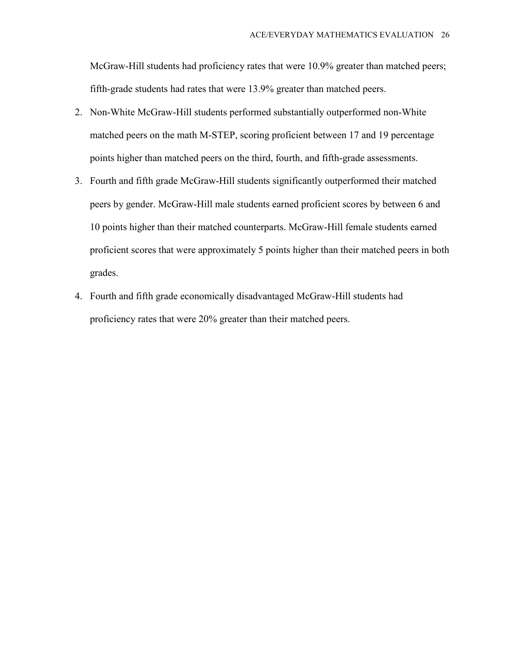McGraw-Hill students had proficiency rates that were 10.9% greater than matched peers; fifth-grade students had rates that were 13.9% greater than matched peers.

- 2. Non-White McGraw-Hill students performed substantially outperformed non-White matched peers on the math M-STEP, scoring proficient between 17 and 19 percentage points higher than matched peers on the third, fourth, and fifth-grade assessments.
- 3. Fourth and fifth grade McGraw-Hill students significantly outperformed their matched peers by gender. McGraw-Hill male students earned proficient scores by between 6 and 10 points higher than their matched counterparts. McGraw-Hill female students earned proficient scores that were approximately 5 points higher than their matched peers in both grades.
- 4. Fourth and fifth grade economically disadvantaged McGraw-Hill students had proficiency rates that were 20% greater than their matched peers.